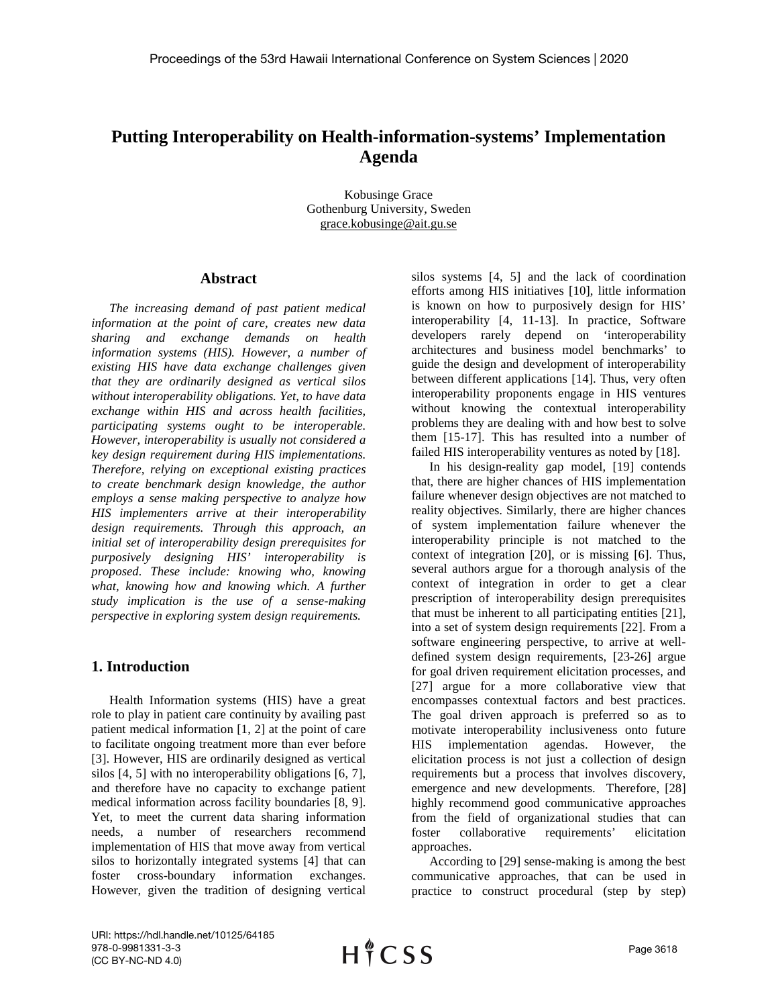# **Putting Interoperability on Health-information-systems' Implementation Agenda**

Kobusinge Grace Gothenburg University, Sweden grace.kobusinge@ait.gu.se

#### **Abstract**

*The increasing demand of past patient medical information at the point of care, creates new data sharing and exchange demands on health information systems (HIS). However, a number of existing HIS have data exchange challenges given that they are ordinarily designed as vertical silos without interoperability obligations. Yet, to have data exchange within HIS and across health facilities, participating systems ought to be interoperable. However, interoperability is usually not considered a key design requirement during HIS implementations. Therefore, relying on exceptional existing practices to create benchmark design knowledge, the author employs a sense making perspective to analyze how HIS implementers arrive at their interoperability design requirements. Through this approach, an initial set of interoperability design prerequisites for purposively designing HIS' interoperability is proposed. These include: knowing who, knowing what, knowing how and knowing which. A further study implication is the use of a sense-making perspective in exploring system design requirements.*

## **1. Introduction**

Health Information systems (HIS) have a great role to play in patient care continuity by availing past patient medical information [1, 2] at the point of care to facilitate ongoing treatment more than ever before [3]. However, HIS are ordinarily designed as vertical silos [4, 5] with no interoperability obligations [6, 7], and therefore have no capacity to exchange patient medical information across facility boundaries [8, 9]. Yet, to meet the current data sharing information needs, a number of researchers recommend implementation of HIS that move away from vertical silos to horizontally integrated systems [4] that can foster cross-boundary information exchanges. However, given the tradition of designing vertical

silos systems [4, 5] and the lack of coordination efforts among HIS initiatives [10], little information is known on how to purposively design for HIS' interoperability [4, 11-13]. In practice, Software developers rarely depend on 'interoperability architectures and business model benchmarks' to guide the design and development of interoperability between different applications [14]. Thus, very often interoperability proponents engage in HIS ventures without knowing the contextual interoperability problems they are dealing with and how best to solve them [15-17]. This has resulted into a number of failed HIS interoperability ventures as noted by [18].

In his design-reality gap model, [19] contends that, there are higher chances of HIS implementation failure whenever design objectives are not matched to reality objectives. Similarly, there are higher chances of system implementation failure whenever the interoperability principle is not matched to the context of integration [20], or is missing [6]. Thus, several authors argue for a thorough analysis of the context of integration in order to get a clear prescription of interoperability design prerequisites that must be inherent to all participating entities [21], into a set of system design requirements [22]. From a software engineering perspective, to arrive at welldefined system design requirements, [23-26] argue for goal driven requirement elicitation processes, and [27] argue for a more collaborative view that encompasses contextual factors and best practices. The goal driven approach is preferred so as to motivate interoperability inclusiveness onto future HIS implementation agendas. However, the elicitation process is not just a collection of design requirements but a process that involves discovery, emergence and new developments. Therefore, [28] highly recommend good communicative approaches from the field of organizational studies that can foster collaborative requirements' elicitation approaches.

According to [29] sense-making is among the best communicative approaches, that can be used in practice to construct procedural (step by step)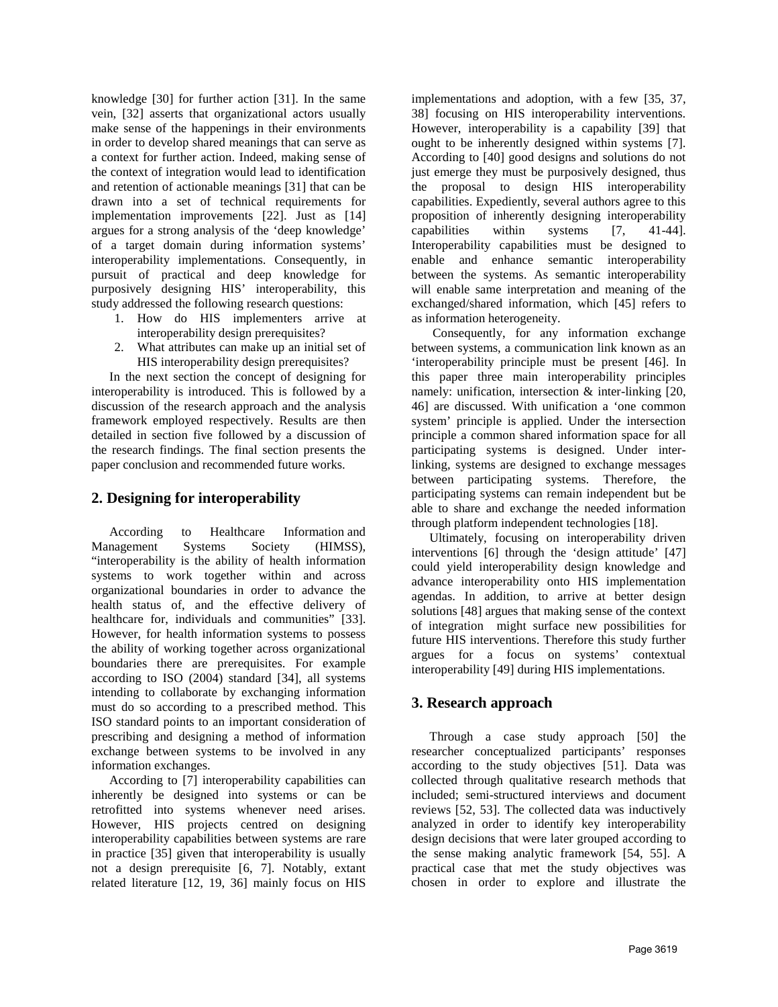knowledge [30] for further action [31]. In the same vein, [32] asserts that organizational actors usually make sense of the happenings in their environments in order to develop shared meanings that can serve as a context for further action. Indeed, making sense of the context of integration would lead to identification and retention of actionable meanings [31] that can be drawn into a set of technical requirements for implementation improvements [22]. Just as [14] argues for a strong analysis of the 'deep knowledge' of a target domain during information systems' interoperability implementations. Consequently, in pursuit of practical and deep knowledge for purposively designing HIS' interoperability, this study addressed the following research questions:

- 1. How do HIS implementers arrive at interoperability design prerequisites?
- 2. What attributes can make up an initial set of HIS interoperability design prerequisites?

In the next section the concept of designing for interoperability is introduced. This is followed by a discussion of the research approach and the analysis framework employed respectively. Results are then detailed in section five followed by a discussion of the research findings. The final section presents the paper conclusion and recommended future works.

## **2. Designing for interoperability**

According to Healthcare Information and Management Systems Society (HIMSS), "interoperability is the ability of health information systems to work together within and across organizational boundaries in order to advance the health status of, and the effective delivery of healthcare for, individuals and communities" [33]. However, for health information systems to possess the ability of working together across organizational boundaries there are prerequisites. For example according to ISO (2004) standard [34], all systems intending to collaborate by exchanging information must do so according to a prescribed method. This ISO standard points to an important consideration of prescribing and designing a method of information exchange between systems to be involved in any information exchanges.

According to [7] interoperability capabilities can inherently be designed into systems or can be retrofitted into systems whenever need arises. However, HIS projects centred on designing interoperability capabilities between systems are rare in practice [35] given that interoperability is usually not a design prerequisite [6, 7]. Notably, extant related literature [12, 19, 36] mainly focus on HIS

implementations and adoption, with a few [35, 37, 38] focusing on HIS interoperability interventions. However, interoperability is a capability [39] that ought to be inherently designed within systems [7]. According to [40] good designs and solutions do not just emerge they must be purposively designed, thus the proposal to design HIS interoperability capabilities. Expediently, several authors agree to this proposition of inherently designing interoperability capabilities within systems [7, 41-44]. Interoperability capabilities must be designed to enable and enhance semantic interoperability between the systems. As semantic interoperability will enable same interpretation and meaning of the exchanged/shared information, which [45] refers to as information heterogeneity.

Consequently, for any information exchange between systems, a communication link known as an 'interoperability principle must be present [46]. In this paper three main interoperability principles namely: unification, intersection & inter-linking [20, 46] are discussed. With unification a 'one common system' principle is applied. Under the intersection principle a common shared information space for all participating systems is designed. Under interlinking, systems are designed to exchange messages between participating systems. Therefore, the participating systems can remain independent but be able to share and exchange the needed information through platform independent technologies [18].

Ultimately, focusing on interoperability driven interventions [6] through the 'design attitude' [47] could yield interoperability design knowledge and advance interoperability onto HIS implementation agendas. In addition, to arrive at better design solutions [48] argues that making sense of the context of integration might surface new possibilities for future HIS interventions. Therefore this study further argues for a focus on systems' contextual interoperability [49] during HIS implementations.

## **3. Research approach**

Through a case study approach [50] the researcher conceptualized participants' responses according to the study objectives [51]. Data was collected through qualitative research methods that included; semi-structured interviews and document reviews [52, 53]. The collected data was inductively analyzed in order to identify key interoperability design decisions that were later grouped according to the sense making analytic framework [54, 55]. A practical case that met the study objectives was chosen in order to explore and illustrate the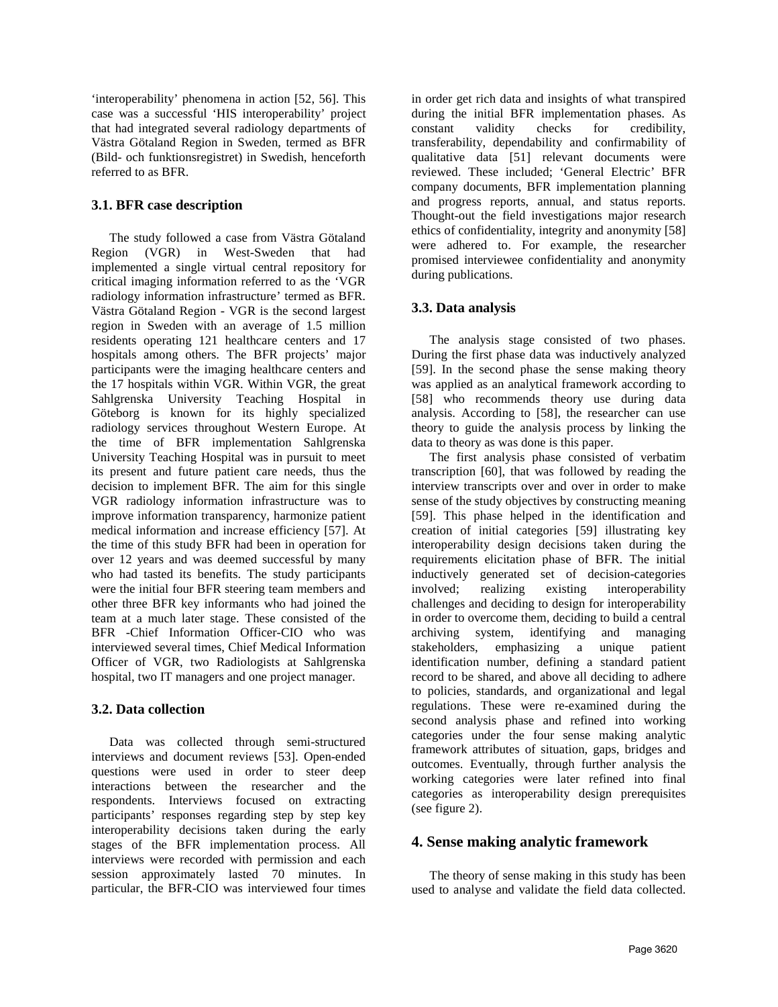'interoperability' phenomena in action [52, 56]. This case was a successful 'HIS interoperability' project that had integrated several radiology departments of Västra Götaland Region in Sweden, termed as BFR (Bild- och funktionsregistret) in Swedish, henceforth referred to as BFR.

#### **3.1. BFR case description**

The study followed a case from Västra Götaland Region (VGR) in West-Sweden that had implemented a single virtual central repository for critical imaging information referred to as the 'VGR radiology information infrastructure' termed as BFR. Västra Götaland Region - VGR is the second largest region in Sweden with an average of 1.5 million residents operating 121 healthcare centers and 17 hospitals among others. The BFR projects' major participants were the imaging healthcare centers and the 17 hospitals within VGR. Within VGR, the great Sahlgrenska University Teaching Hospital in Göteborg is known for its highly specialized radiology services throughout Western Europe. At the time of BFR implementation Sahlgrenska University Teaching Hospital was in pursuit to meet its present and future patient care needs, thus the decision to implement BFR. The aim for this single VGR radiology information infrastructure was to improve information transparency, harmonize patient medical information and increase efficiency [57]. At the time of this study BFR had been in operation for over 12 years and was deemed successful by many who had tasted its benefits. The study participants were the initial four BFR steering team members and other three BFR key informants who had joined the team at a much later stage. These consisted of the BFR -Chief Information Officer-CIO who was interviewed several times, Chief Medical Information Officer of VGR, two Radiologists at Sahlgrenska hospital, two IT managers and one project manager.

## **3.2. Data collection**

Data was collected through semi-structured interviews and document reviews [53]. Open-ended questions were used in order to steer deep interactions between the researcher and the respondents. Interviews focused on extracting participants' responses regarding step by step key interoperability decisions taken during the early stages of the BFR implementation process. All interviews were recorded with permission and each session approximately lasted 70 minutes. In particular, the BFR-CIO was interviewed four times

in order get rich data and insights of what transpired during the initial BFR implementation phases. As constant validity checks for credibility, transferability, dependability and confirmability of qualitative data [51] relevant documents were reviewed. These included; 'General Electric' BFR company documents, BFR implementation planning and progress reports, annual, and status reports. Thought-out the field investigations major research ethics of confidentiality, integrity and anonymity [58] were adhered to. For example, the researcher promised interviewee confidentiality and anonymity during publications.

## **3.3. Data analysis**

The analysis stage consisted of two phases. During the first phase data was inductively analyzed [59]. In the second phase the sense making theory was applied as an analytical framework according to [58] who recommends theory use during data analysis. According to [58], the researcher can use theory to guide the analysis process by linking the data to theory as was done is this paper.

The first analysis phase consisted of verbatim transcription [60], that was followed by reading the interview transcripts over and over in order to make sense of the study objectives by constructing meaning [59]. This phase helped in the identification and creation of initial categories [59] illustrating key interoperability design decisions taken during the requirements elicitation phase of BFR. The initial inductively generated set of decision-categories involved; realizing existing interoperability challenges and deciding to design for interoperability in order to overcome them, deciding to build a central archiving system, identifying and managing stakeholders, emphasizing a unique patient identification number, defining a standard patient record to be shared, and above all deciding to adhere to policies, standards, and organizational and legal regulations. These were re-examined during the second analysis phase and refined into working categories under the four sense making analytic framework attributes of situation, gaps, bridges and outcomes. Eventually, through further analysis the working categories were later refined into final categories as interoperability design prerequisites (see figure 2).

## **4. Sense making analytic framework**

The theory of sense making in this study has been used to analyse and validate the field data collected.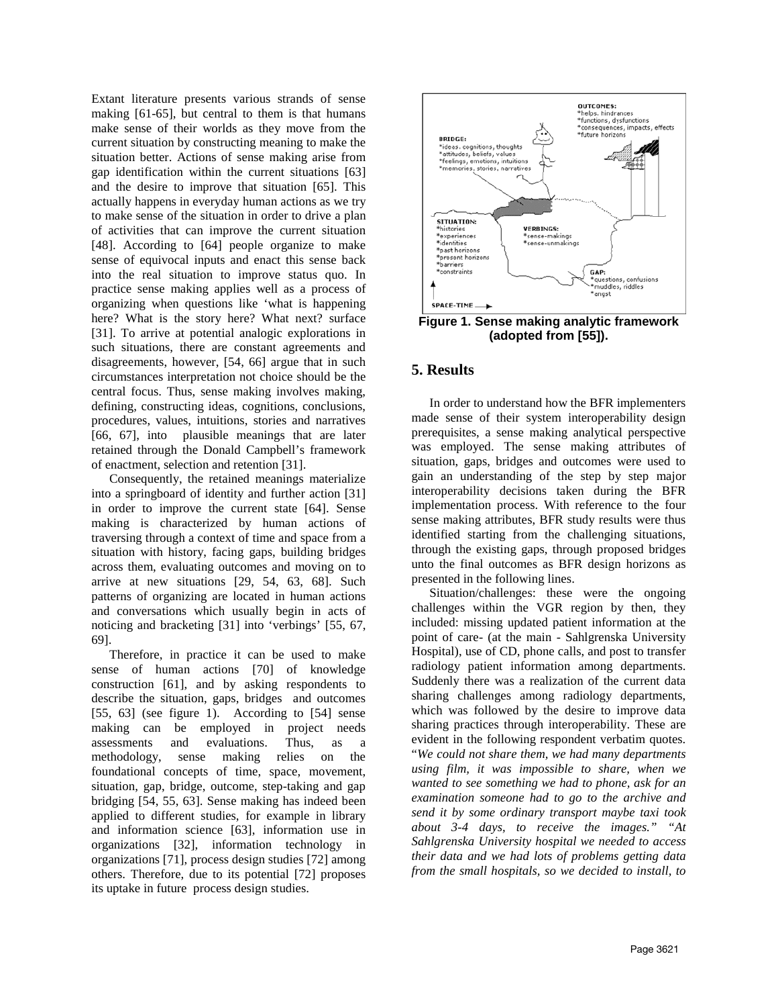Extant literature presents various strands of sense making [61-65], but central to them is that humans make sense of their worlds as they move from the current situation by constructing meaning to make the situation better. Actions of sense making arise from gap identification within the current situations [63] and the desire to improve that situation [65]. This actually happens in everyday human actions as we try to make sense of the situation in order to drive a plan of activities that can improve the current situation [48]. According to [64] people organize to make sense of equivocal inputs and enact this sense back into the real situation to improve status quo. In practice sense making applies well as a process of organizing when questions like 'what is happening here? What is the story here? What next? surface [31]. To arrive at potential analogic explorations in such situations, there are constant agreements and disagreements, however, [54, 66] argue that in such circumstances interpretation not choice should be the central focus. Thus, sense making involves making, defining, constructing ideas, cognitions, conclusions, procedures, values, intuitions, stories and narratives [66, 67], into plausible meanings that are later retained through the Donald Campbell's framework of enactment, selection and retention [31].

Consequently, the retained meanings materialize into a springboard of identity and further action [31] in order to improve the current state [64]. Sense making is characterized by human actions of traversing through a context of time and space from a situation with history, facing gaps, building bridges across them, evaluating outcomes and moving on to arrive at new situations [29, 54, 63, 68]. Such patterns of organizing are located in human actions and conversations which usually begin in acts of noticing and bracketing [31] into 'verbings' [55, 67, 69].

Therefore, in practice it can be used to make sense of human actions [70] of knowledge construction [61], and by asking respondents to describe the situation, gaps, bridges and outcomes [55, 63] (see figure 1). According to [54] sense making can be employed in project needs assessments and evaluations. Thus, as a methodology, sense making relies on the foundational concepts of time, space, movement, situation, gap, bridge, outcome, step-taking and gap bridging [54, 55, 63]. Sense making has indeed been applied to different studies, for example in library and information science [63], information use in organizations [32], information technology in organizations [71], process design studies [72] among others. Therefore, due to its potential [72] proposes its uptake in future process design studies.



**Figure 1. Sense making analytic framework (adopted from [55]).**

## **5. Results**

In order to understand how the BFR implementers made sense of their system interoperability design prerequisites, a sense making analytical perspective was employed. The sense making attributes of situation, gaps, bridges and outcomes were used to gain an understanding of the step by step major interoperability decisions taken during the BFR implementation process. With reference to the four sense making attributes, BFR study results were thus identified starting from the challenging situations, through the existing gaps, through proposed bridges unto the final outcomes as BFR design horizons as presented in the following lines.

Situation/challenges: these were the ongoing challenges within the VGR region by then, they included: missing updated patient information at the point of care- (at the main - Sahlgrenska University Hospital), use of CD, phone calls, and post to transfer radiology patient information among departments. Suddenly there was a realization of the current data sharing challenges among radiology departments, which was followed by the desire to improve data sharing practices through interoperability. These are evident in the following respondent verbatim quotes. "*We could not share them, we had many departments using film, it was impossible to share, when we wanted to see something we had to phone, ask for an examination someone had to go to the archive and send it by some ordinary transport maybe taxi took about 3-4 days, to receive the images." "At Sahlgrenska University hospital we needed to access their data and we had lots of problems getting data from the small hospitals, so we decided to install, to*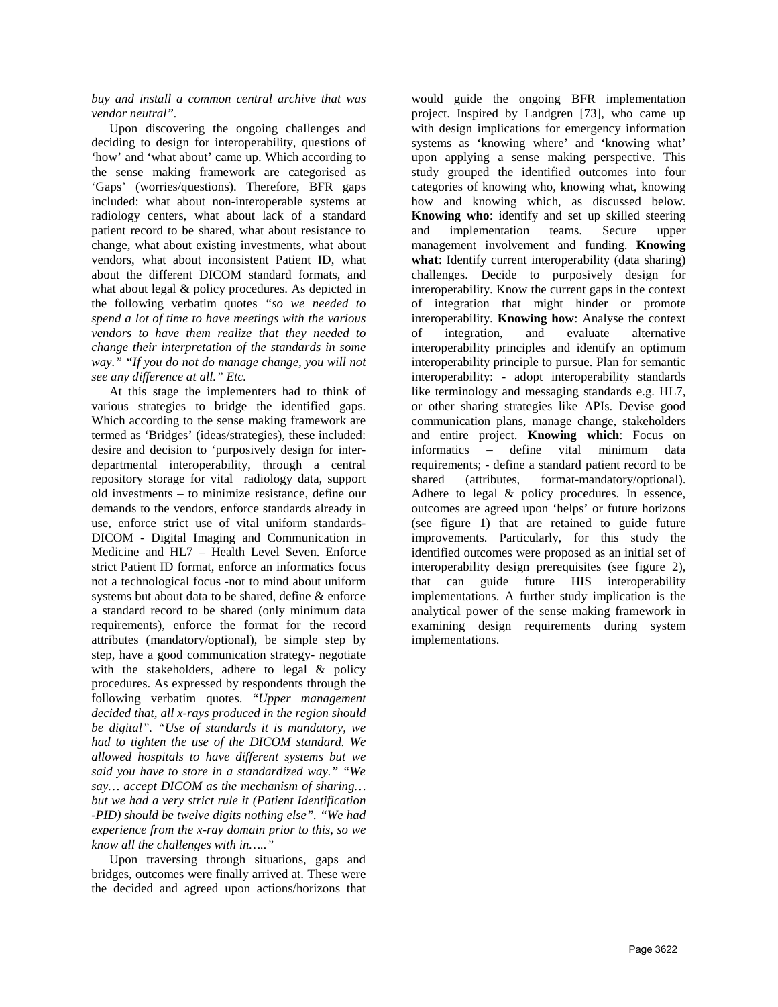*buy and install a common central archive that was vendor neutral".*

Upon discovering the ongoing challenges and deciding to design for interoperability, questions of 'how' and 'what about' came up. Which according to the sense making framework are categorised as 'Gaps' (worries/questions). Therefore, BFR gaps included: what about non-interoperable systems at radiology centers, what about lack of a standard patient record to be shared, what about resistance to change, what about existing investments, what about vendors, what about inconsistent Patient ID, what about the different DICOM standard formats, and what about legal & policy procedures. As depicted in the following verbatim quotes *"so we needed to spend a lot of time to have meetings with the various vendors to have them realize that they needed to change their interpretation of the standards in some way." "If you do not do manage change, you will not see any difference at all." Etc.*

At this stage the implementers had to think of various strategies to bridge the identified gaps. Which according to the sense making framework are termed as 'Bridges' (ideas/strategies), these included: desire and decision to 'purposively design for interdepartmental interoperability, through a central repository storage for vital radiology data, support old investments – to minimize resistance, define our demands to the vendors, enforce standards already in use, enforce strict use of vital uniform standards-DICOM - Digital Imaging and Communication in Medicine and HL7 – Health Level Seven. Enforce strict Patient ID format, enforce an informatics focus not a technological focus -not to mind about uniform systems but about data to be shared, define & enforce a standard record to be shared (only minimum data requirements), enforce the format for the record attributes (mandatory/optional), be simple step by step, have a good communication strategy- negotiate with the stakeholders, adhere to legal & policy procedures. As expressed by respondents through the following verbatim quotes. "*Upper management decided that, all x-rays produced in the region should be digital". "Use of standards it is mandatory, we had to tighten the use of the DICOM standard. We allowed hospitals to have different systems but we said you have to store in a standardized way." "We say… accept DICOM as the mechanism of sharing… but we had a very strict rule it (Patient Identification -PID) should be twelve digits nothing else". "We had experience from the x-ray domain prior to this, so we know all the challenges with in….."* 

Upon traversing through situations, gaps and bridges, outcomes were finally arrived at. These were the decided and agreed upon actions/horizons that

would guide the ongoing BFR implementation project. Inspired by Landgren [73], who came up with design implications for emergency information systems as 'knowing where' and 'knowing what' upon applying a sense making perspective. This study grouped the identified outcomes into four categories of knowing who, knowing what, knowing how and knowing which, as discussed below. **Knowing who**: identify and set up skilled steering and implementation teams. Secure upper management involvement and funding. **Knowing what**: Identify current interoperability (data sharing) challenges. Decide to purposively design for interoperability. Know the current gaps in the context of integration that might hinder or promote interoperability. **Knowing how**: Analyse the context of integration, and evaluate alternative interoperability principles and identify an optimum interoperability principle to pursue. Plan for semantic interoperability: - adopt interoperability standards like terminology and messaging standards e.g. HL7, or other sharing strategies like APIs. Devise good communication plans, manage change, stakeholders and entire project. **Knowing which**: Focus on informatics – define vital minimum data requirements; - define a standard patient record to be shared (attributes, format-mandatory/optional). Adhere to legal & policy procedures. In essence, outcomes are agreed upon 'helps' or future horizons (see figure 1) that are retained to guide future improvements. Particularly, for this study the identified outcomes were proposed as an initial set of interoperability design prerequisites (see figure 2), that can guide future HIS interoperability implementations. A further study implication is the analytical power of the sense making framework in examining design requirements during system implementations.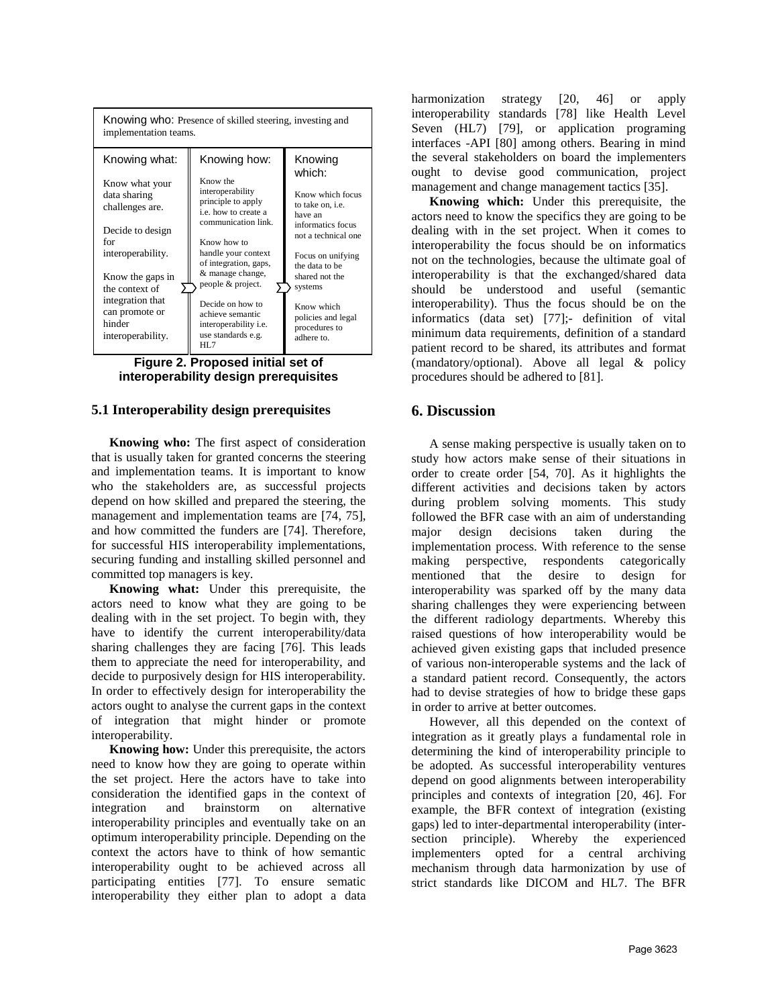



#### **5.1 Interoperability design prerequisites**

**Knowing who:** The first aspect of consideration that is usually taken for granted concerns the steering and implementation teams. It is important to know who the stakeholders are, as successful projects depend on how skilled and prepared the steering, the management and implementation teams are [74, 75], and how committed the funders are [74]. Therefore, for successful HIS interoperability implementations, securing funding and installing skilled personnel and committed top managers is key.

**Knowing what:** Under this prerequisite, the actors need to know what they are going to be dealing with in the set project. To begin with, they have to identify the current interoperability/data sharing challenges they are facing [76]. This leads them to appreciate the need for interoperability, and decide to purposively design for HIS interoperability. In order to effectively design for interoperability the actors ought to analyse the current gaps in the context of integration that might hinder or promote interoperability.

**Knowing how:** Under this prerequisite, the actors need to know how they are going to operate within the set project. Here the actors have to take into consideration the identified gaps in the context of integration and brainstorm on alternative interoperability principles and eventually take on an optimum interoperability principle. Depending on the context the actors have to think of how semantic interoperability ought to be achieved across all participating entities [77]. To ensure sematic interoperability they either plan to adopt a data harmonization strategy [20, 46] or apply interoperability standards [78] like Health Level Seven (HL7) [79], or application programing interfaces -API [80] among others. Bearing in mind the several stakeholders on board the implementers ought to devise good communication, project management and change management tactics [35].

**Knowing which:** Under this prerequisite, the actors need to know the specifics they are going to be dealing with in the set project. When it comes to interoperability the focus should be on informatics not on the technologies, because the ultimate goal of interoperability is that the exchanged/shared data should be understood and useful (semantic interoperability). Thus the focus should be on the informatics (data set) [77];- definition of vital minimum data requirements, definition of a standard patient record to be shared, its attributes and format (mandatory/optional). Above all legal & policy procedures should be adhered to [81].

## **6. Discussion**

A sense making perspective is usually taken on to study how actors make sense of their situations in order to create order [54, 70]. As it highlights the different activities and decisions taken by actors during problem solving moments. This study followed the BFR case with an aim of understanding major design decisions taken during the implementation process. With reference to the sense making perspective, respondents categorically mentioned that the desire to design for interoperability was sparked off by the many data sharing challenges they were experiencing between the different radiology departments. Whereby this raised questions of how interoperability would be achieved given existing gaps that included presence of various non-interoperable systems and the lack of a standard patient record. Consequently, the actors had to devise strategies of how to bridge these gaps in order to arrive at better outcomes.

However, all this depended on the context of integration as it greatly plays a fundamental role in determining the kind of interoperability principle to be adopted. As successful interoperability ventures depend on good alignments between interoperability principles and contexts of integration [20, 46]. For example, the BFR context of integration (existing gaps) led to inter-departmental interoperability (intersection principle). Whereby the experienced implementers opted for a central archiving mechanism through data harmonization by use of strict standards like DICOM and HL7. The BFR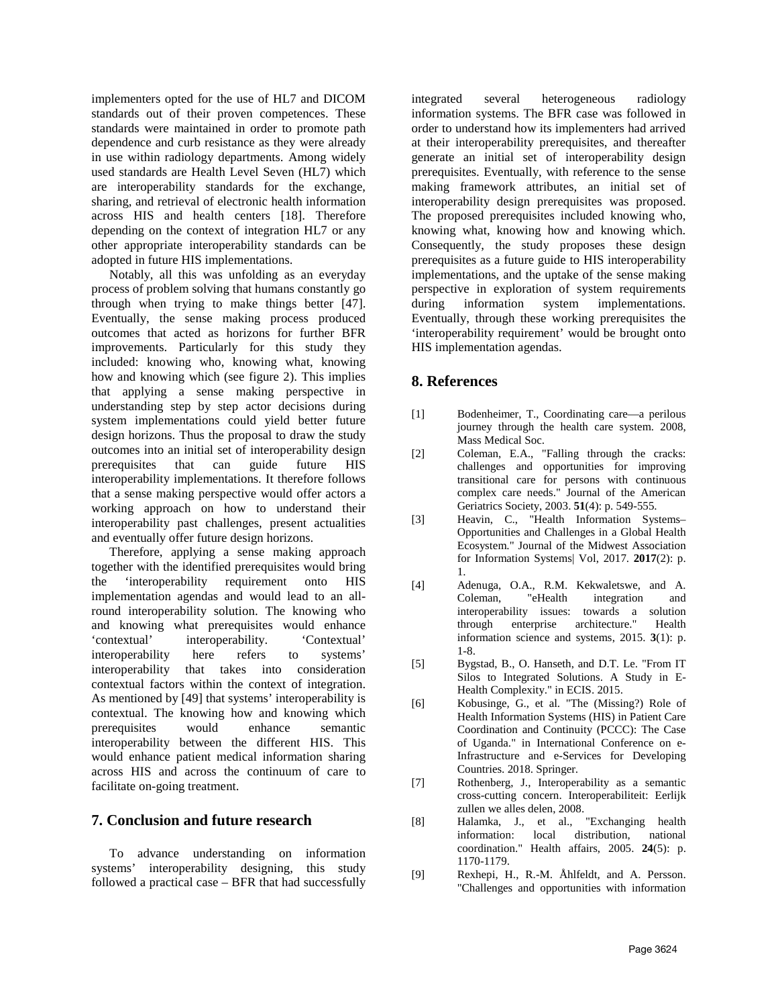implementers opted for the use of HL7 and DICOM standards out of their proven competences. These standards were maintained in order to promote path dependence and curb resistance as they were already in use within radiology departments. Among widely used standards are Health Level Seven (HL7) which are interoperability standards for the exchange, sharing, and retrieval of electronic health information across HIS and health centers [18]. Therefore depending on the context of integration HL7 or any other appropriate interoperability standards can be adopted in future HIS implementations.

Notably, all this was unfolding as an everyday process of problem solving that humans constantly go through when trying to make things better [47]. Eventually, the sense making process produced outcomes that acted as horizons for further BFR improvements. Particularly for this study they included: knowing who, knowing what, knowing how and knowing which (see figure 2). This implies that applying a sense making perspective in understanding step by step actor decisions during system implementations could yield better future design horizons. Thus the proposal to draw the study outcomes into an initial set of interoperability design prerequisites that can guide future HIS interoperability implementations. It therefore follows that a sense making perspective would offer actors a working approach on how to understand their interoperability past challenges, present actualities and eventually offer future design horizons.

Therefore, applying a sense making approach together with the identified prerequisites would bring the 'interoperability requirement onto HIS implementation agendas and would lead to an allround interoperability solution. The knowing who and knowing what prerequisites would enhance 'contextual' interoperability. 'Contextual' interoperability here refers to systems' interoperability that takes into consideration contextual factors within the context of integration. As mentioned by [49] that systems' interoperability is contextual. The knowing how and knowing which prerequisites would enhance semantic interoperability between the different HIS. This would enhance patient medical information sharing across HIS and across the continuum of care to facilitate on-going treatment.

## **7. Conclusion and future research**

To advance understanding on information systems' interoperability designing, this study followed a practical case – BFR that had successfully

integrated several heterogeneous radiology information systems. The BFR case was followed in order to understand how its implementers had arrived at their interoperability prerequisites, and thereafter generate an initial set of interoperability design prerequisites. Eventually, with reference to the sense making framework attributes, an initial set of interoperability design prerequisites was proposed. The proposed prerequisites included knowing who, knowing what, knowing how and knowing which. Consequently, the study proposes these design prerequisites as a future guide to HIS interoperability implementations, and the uptake of the sense making perspective in exploration of system requirements during information system implementations. Eventually, through these working prerequisites the 'interoperability requirement' would be brought onto HIS implementation agendas.

## **8. References**

- [1] Bodenheimer, T., Coordinating care—a perilous journey through the health care system. 2008, Mass Medical Soc.
- [2] Coleman, E.A., "Falling through the cracks: challenges and opportunities for improving transitional care for persons with continuous complex care needs." Journal of the American Geriatrics Society, 2003. **51**(4): p. 549-555.
- [3] Heavin, C., "Health Information Systems– Opportunities and Challenges in a Global Health Ecosystem." Journal of the Midwest Association for Information Systems| Vol, 2017. **2017**(2): p. 1.
- [4] Adenuga, O.A., R.M. Kekwaletswe, and A. Coleman, "eHealth integration and interoperability issues: towards a solution through enterprise architecture." Health information science and systems, 2015. **3**(1): p. 1-8.
- [5] Bygstad, B., O. Hanseth, and D.T. Le. "From IT Silos to Integrated Solutions. A Study in E-Health Complexity." in ECIS. 2015.
- [6] Kobusinge, G., et al. "The (Missing?) Role of Health Information Systems (HIS) in Patient Care Coordination and Continuity (PCCC): The Case of Uganda." in International Conference on e-Infrastructure and e-Services for Developing Countries. 2018. Springer.
- [7] Rothenberg, J., Interoperability as a semantic cross-cutting concern. Interoperabiliteit: Eerlijk zullen we alles delen, 2008.
- [8] Halamka, J., et al., "Exchanging health information: local distribution, national coordination." Health affairs, 2005. **24**(5): p. 1170-1179.
- [9] Rexhepi, H., R.-M. Åhlfeldt, and A. Persson. "Challenges and opportunities with information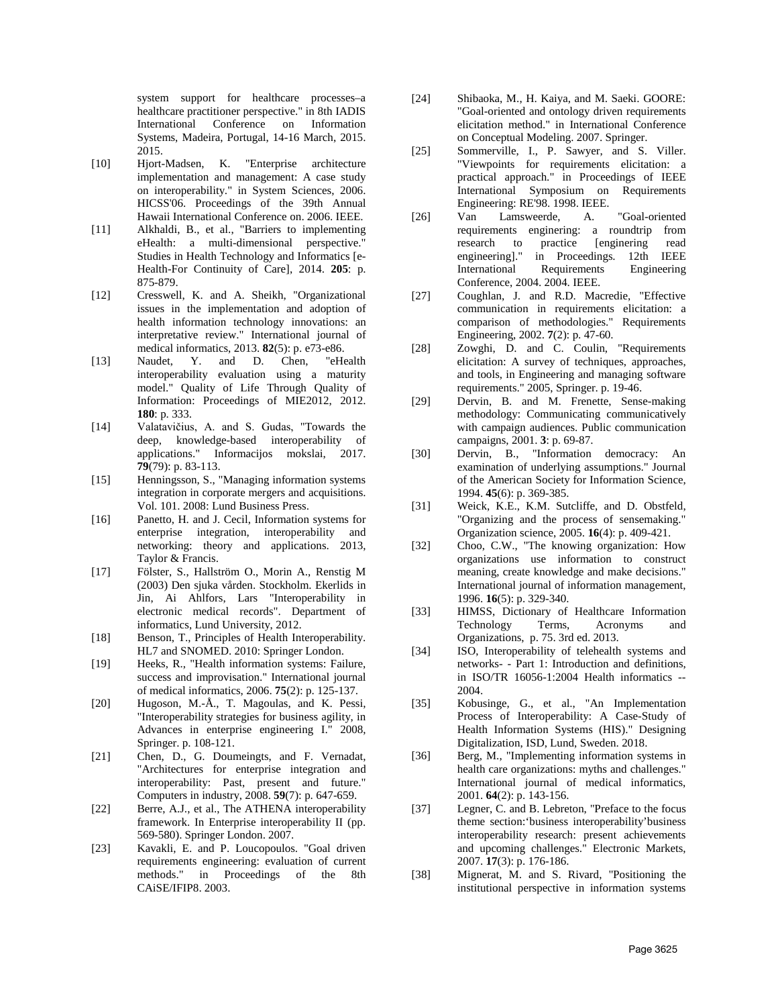system support for healthcare processes–a healthcare practitioner perspective." in 8th IADIS International Conference on Information Systems, Madeira, Portugal, 14-16 March, 2015. 2015.

- [10] Hjort-Madsen, K. "Enterprise architecture implementation and management: A case study on interoperability." in System Sciences, 2006. HICSS'06. Proceedings of the 39th Annual Hawaii International Conference on. 2006. IEEE.
- [11] Alkhaldi, B., et al., "Barriers to implementing eHealth: a multi-dimensional perspective." Studies in Health Technology and Informatics [e-Health-For Continuity of Care], 2014. **205**: p. 875-879.
- [12] Cresswell, K. and A. Sheikh, "Organizational issues in the implementation and adoption of health information technology innovations: an interpretative review." International journal of medical informatics, 2013. **82**(5): p. e73-e86.
- [13] Naudet, Y. and D. Chen, "eHealth interoperability evaluation using a maturity model." Quality of Life Through Quality of Information: Proceedings of MIE2012, 2012. **180**: p. 333.
- [14] Valatavičius, A. and S. Gudas, "Towards the deep, knowledge-based interoperability of applications." Informacijos mokslai, 2017. **79**(79): p. 83-113.
- [15] Henningsson, S., "Managing information systems integration in corporate mergers and acquisitions. Vol. 101. 2008: Lund Business Press.
- [16] Panetto, H. and J. Cecil, Information systems for enterprise integration, interoperability and networking: theory and applications. 2013, Taylor & Francis.
- [17] Fölster, S., Hallström O., Morin A., Renstig M (2003) Den sjuka vården. Stockholm. Ekerlids in Jin, Ai Ahlfors, Lars "Interoperability in electronic medical records". Department of informatics, Lund University, 2012.
- [18] Benson, T., Principles of Health Interoperability. HL7 and SNOMED. 2010: Springer London.
- [19] Heeks, R., "Health information systems: Failure, success and improvisation." International journal of medical informatics, 2006. **75**(2): p. 125-137.
- [20] Hugoson, M.-Å., T. Magoulas, and K. Pessi, "Interoperability strategies for business agility, in Advances in enterprise engineering I." 2008, Springer. p. 108-121.
- [21] Chen, D., G. Doumeingts, and F. Vernadat, "Architectures for enterprise integration and interoperability: Past, present and future." Computers in industry, 2008. **59**(7): p. 647-659.
- [22] Berre, A.J., et al., The ATHENA interoperability framework. In Enterprise interoperability II (pp. 569-580). Springer London. 2007.
- [23] Kavakli, E. and P. Loucopoulos. "Goal driven requirements engineering: evaluation of current methods." in Proceedings of the 8th CAiSE/IFIP8. 2003.
- [24] Shibaoka, M., H. Kaiya, and M. Saeki. GOORE: "Goal-oriented and ontology driven requirements elicitation method." in International Conference on Conceptual Modeling. 2007. Springer.
- [25] Sommerville, I., P. Sawyer, and S. Viller. "Viewpoints for requirements elicitation: a practical approach." in Proceedings of IEEE International Symposium on Requirements Engineering: RE'98. 1998. IEEE.<br>Van Lamsweerde, A.
- [26] Van Lamsweerde, A. "Goal-oriented requirements enginering: a roundtrip from research to practice [enginering read<br>engineering]." in Proceedings. 12th IEEE in Proceedings. 12th IEEE International Requirements Engineering Conference, 2004. 2004. IEEE.
- [27] Coughlan, J. and R.D. Macredie, "Effective communication in requirements elicitation: a comparison of methodologies." Requirements Engineering, 2002. **7**(2): p. 47-60.
- [28] Zowghi, D. and C. Coulin, "Requirements elicitation: A survey of techniques, approaches, and tools, in Engineering and managing software requirements." 2005, Springer. p. 19-46.
- [29] Dervin, B. and M. Frenette, Sense-making methodology: Communicating communicatively with campaign audiences. Public communication campaigns, 2001. **3**: p. 69-87.
- [30] Dervin, B., "Information democracy: An examination of underlying assumptions." Journal of the American Society for Information Science, 1994. **45**(6): p. 369-385.
- [31] Weick, K.E., K.M. Sutcliffe, and D. Obstfeld, "Organizing and the process of sensemaking." Organization science, 2005. **16**(4): p. 409-421.
- [32] Choo, C.W., "The knowing organization: How organizations use information to construct meaning, create knowledge and make decisions." International journal of information management, 1996. **16**(5): p. 329-340.
- [33] HIMSS, Dictionary of Healthcare Information Technology Terms, Acronyms and Organizations, p. 75. 3rd ed. 2013.
- [34] ISO, Interoperability of telehealth systems and networks- - Part 1: Introduction and definitions, in ISO/TR 16056-1:2004 Health informatics -- 2004.
- [35] Kobusinge, G., et al., "An Implementation Process of Interoperability: A Case-Study of Health Information Systems (HIS)." Designing Digitalization, ISD, Lund, Sweden. 2018.
- [36] Berg, M., "Implementing information systems in health care organizations: myths and challenges." International journal of medical informatics, 2001. **64**(2): p. 143-156.
- [37] Legner, C. and B. Lebreton, "Preface to the focus theme section:'business interoperability'business interoperability research: present achievements and upcoming challenges." Electronic Markets, 2007. **17**(3): p. 176-186.
- [38] Mignerat, M. and S. Rivard, "Positioning the institutional perspective in information systems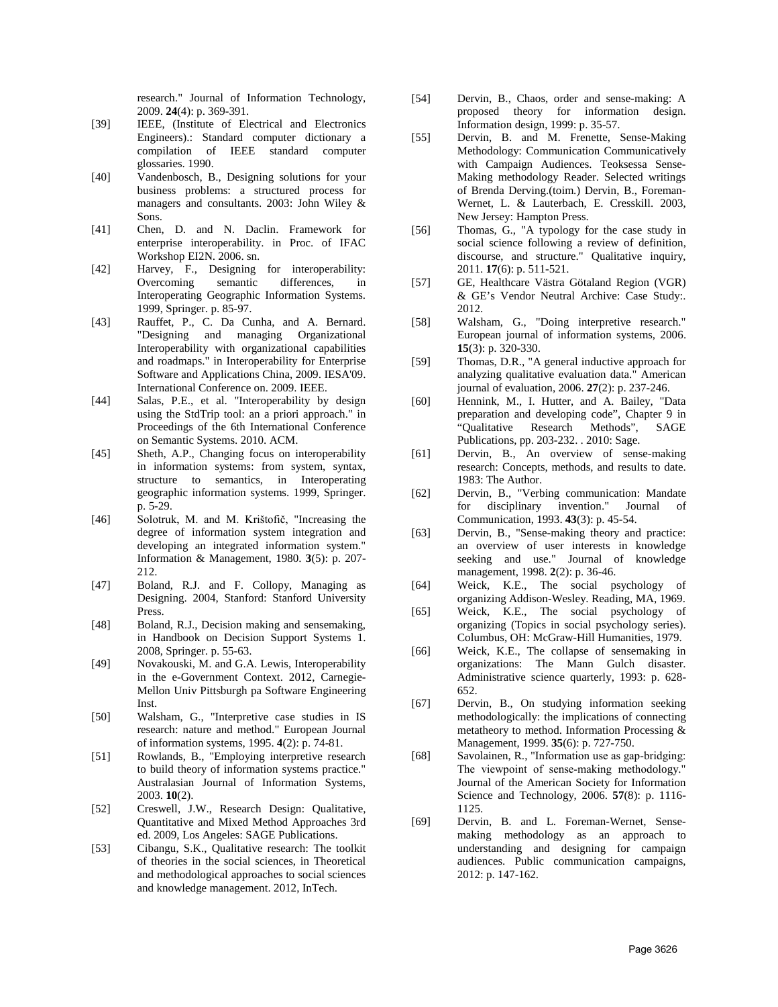research." Journal of Information Technology, 2009. **24**(4): p. 369-391.

- [39] IEEE, (Institute of Electrical and Electronics Engineers).: Standard computer dictionary a compilation of IEEE standard computer glossaries. 1990.
- [40] Vandenbosch, B., Designing solutions for your business problems: a structured process for managers and consultants. 2003: John Wiley & Sons.
- [41] Chen, D. and N. Daclin. Framework for enterprise interoperability. in Proc. of IFAC Workshop EI2N. 2006. sn.
- [42] Harvey, F., Designing for interoperability:<br>Overcoming semantic differences. in Overcoming semantic differences, in Interoperating Geographic Information Systems. 1999, Springer. p. 85-97.
- [43] Rauffet, P., C. Da Cunha, and A. Bernard. "Designing and managing Organizational Interoperability with organizational capabilities and roadmaps." in Interoperability for Enterprise Software and Applications China, 2009. IESA'09. International Conference on. 2009. IEEE.
- [44] Salas, P.E., et al. "Interoperability by design using the StdTrip tool: an a priori approach." in Proceedings of the 6th International Conference on Semantic Systems. 2010. ACM.
- [45] Sheth, A.P., Changing focus on interoperability in information systems: from system, syntax, structure to semantics, in Interoperating geographic information systems. 1999, Springer. p. 5-29.
- [46] Solotruk, M. and M. Krištofič, "Increasing the degree of information system integration and developing an integrated information system." Information & Management, 1980. **3**(5): p. 207- 212.
- [47] Boland, R.J. and F. Collopy, Managing as Designing. 2004, Stanford: Stanford University Press.
- [48] Boland, R.J., Decision making and sensemaking, in Handbook on Decision Support Systems 1. 2008, Springer. p. 55-63.
- [49] Novakouski, M. and G.A. Lewis, Interoperability in the e-Government Context. 2012, Carnegie-Mellon Univ Pittsburgh pa Software Engineering Inst.
- [50] Walsham, G., "Interpretive case studies in IS research: nature and method." European Journal of information systems, 1995. **4**(2): p. 74-81.
- [51] Rowlands, B., "Employing interpretive research to build theory of information systems practice." Australasian Journal of Information Systems, 2003. **10**(2).
- [52] Creswell, J.W., Research Design: Qualitative, Quantitative and Mixed Method Approaches 3rd ed. 2009, Los Angeles: SAGE Publications.
- [53] Cibangu, S.K., Qualitative research: The toolkit of theories in the social sciences, in Theoretical and methodological approaches to social sciences and knowledge management. 2012, InTech.
- [54] Dervin, B., Chaos, order and sense-making: A proposed theory for information design. Information design, 1999: p. 35-57.
- [55] Dervin, B. and M. Frenette, Sense-Making Methodology: Communication Communicatively with Campaign Audiences. Teoksessa Sense-Making methodology Reader. Selected writings of Brenda Derving.(toim.) Dervin, B., Foreman-Wernet, L. & Lauterbach, E. Cresskill. 2003, New Jersey: Hampton Press.
- [56] Thomas, G., "A typology for the case study in social science following a review of definition, discourse, and structure." Qualitative inquiry, 2011. **17**(6): p. 511-521.
- [57] GE, Healthcare Västra Götaland Region (VGR) & GE's Vendor Neutral Archive: Case Study:. 2012.
- [58] Walsham, G., "Doing interpretive research." European journal of information systems, 2006. **15**(3): p. 320-330.
- [59] Thomas, D.R., "A general inductive approach for analyzing qualitative evaluation data." American journal of evaluation, 2006. **27**(2): p. 237-246.
- [60] Hennink, M., I. Hutter, and A. Bailey, "Data preparation and developing code", Chapter 9 in "Qualitative Research Methods", SAGE Publications, pp. 203-232. . 2010: Sage.
- [61] Dervin, B., An overview of sense-making research: Concepts, methods, and results to date. 1983: The Author.
- [62] Dervin, B., "Verbing communication: Mandate for disciplinary invention." Journal of Communication, 1993. **43**(3): p. 45-54.
- [63] Dervin, B., "Sense-making theory and practice: an overview of user interests in knowledge seeking and use." Journal of knowledge management, 1998. **2**(2): p. 36-46.
- [64] Weick, K.E., The social psychology of organizing Addison-Wesley. Reading, MA, 1969.
- [65] Weick, K.E., The social psychology of organizing (Topics in social psychology series). Columbus, OH: McGraw-Hill Humanities, 1979.
- [66] Weick, K.E., The collapse of sensemaking in organizations: The Mann Gulch disaster. Administrative science quarterly, 1993: p. 628- 652.
- [67] Dervin, B., On studying information seeking methodologically: the implications of connecting metatheory to method. Information Processing & Management, 1999. **35**(6): p. 727-750.
- [68] Savolainen, R., "Information use as gap-bridging: The viewpoint of sense-making methodology." Journal of the American Society for Information Science and Technology, 2006. **57**(8): p. 1116- 1125.
- [69] Dervin, B. and L. Foreman-Wernet, Sensemaking methodology as an approach to understanding and designing for campaign audiences. Public communication campaigns, 2012: p. 147-162.